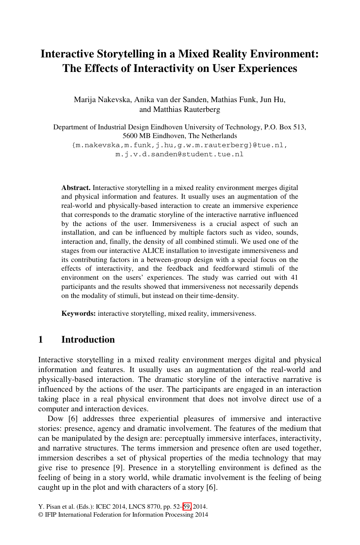# **Interactive Storytelling in a Mixed Reality Environment: The Effects of Interactivity on User Experiences**

Marija Nakevska, Anika van der Sanden, Mathias Funk, Jun Hu, and Matthias Rauterberg

Department of Industrial Design Eindhoven University of Technology, P.O. Box 513, 5600 MB Eindhoven, The Netherlands {m.nakevska,m.funk,j.hu,g.w.m.rauterberg}@tue.nl,

m.j.v.d.sanden@student.tue.nl

**Abstract.** Interactive storytelling in a mixed reality environment merges digital and physical information and features. It usually uses an augmentation of the real-world and physically-based interaction to create an immersive experience that corresponds to the dramatic storyline of the interactive narrative influenced by the actions of the user. Immersiveness is a crucial aspect of such an installation, and can be influenced by multiple factors such as video, sounds, interaction and, finally, the density of all combined stimuli. We used one of the stages from our interactive ALICE installation to investigate immersiveness and its contributing factors in a between-group design with a special focus on the effects of interactivity, and the feedback and feedforward stimuli of the environment on the users' experiences. The study was carried out with 41 participants and the results showed that immersiveness not necessarily depends on the modality of stimuli, but instead on their time-density.

**Keywords:** interactive storytelling, mixed reality, immersiveness.

# **1 Introduction**

Interactive storytelling in a mixed reality environment merges digital and physical information and features. It usually uses an augmentation of the real-world and physically-based interaction. The dramatic storyline of the interactive narrative is influenced by the actions of the user. The participants are engaged in an interaction taking place in a real physical environment that does not involve direct use of a computer and interaction devices.

Dow [6] addresses three experiential pleasures of immersive and interactive stories: presence, agenc[y an](#page-7-0)d dramatic involvement. The features of the medium that can be manipulated by the design are: perceptually immersive interfaces, interactivity, and narrative structures. The terms immersion and presence often are used together, immersion describes a set of physical properties of the media technology that may give rise to presence [9]. Presence in a storytelling environment is defined as the feeling of being in a story world, while dramatic involvement is the feeling of being caught up in the plot and with characters of a story [6].

© IFIP International Federation for Information Processing 2014

Y. Pisan et al. (Eds.): ICEC 2014, LNCS 8770, pp. 52–59, 2014.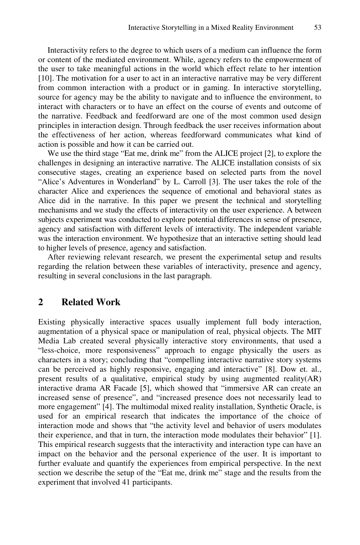Interactivity refers to the degree to which users of a medium can influence the form or content of the mediated environment. While, agency refers to the empowerment of the user to take meaningful actions in the world which effect relate to her intention [10]. The motivation for a user to act in an interactive narrative may be very different from common interaction with a product or in gaming. In interactive storytelling, source for agency may be the ability to navigate and to influence the environment, to interact with characters or to have an effect on the course of events and outcome of the narrative. Feedback and feedforward are one of the most common used design principles in interaction design. Through feedback the user receives information about the effectiveness of her action, whereas feedforward communicates what kind of action is possible and how it can be carried out.

We use the third stage "Eat me, drink me" from the ALICE project [2], to explore the challenges in designing an interactive narrative. The ALICE installation consists of six consecutive stages, creating an experience based on selected parts from the novel "Alice's Adventures in Wonderland" by L. Carroll [3]. The user takes the role of the character Alice and experiences the sequence of emotional and behavioral states as Alice did in the narrative. In this paper we present the technical and storytelling mechanisms and we study the effects of interactivity on the user experience. A between subjects experiment was conducted to explore potential differences in sense of presence, agency and satisfaction with different levels of interactivity. The independent variable was the interaction environment. We hypothesize that an interactive setting should lead to higher levels of presence, agency and satisfaction.

After reviewing relevant research, we present the experimental setup and results regarding the relation between these variables of interactivity, presence and agency, resulting in several conclusions in the last paragraph.

# **2 Related Work**

Existing physically interactive spaces usually implement full body interaction, augmentation of a physical space or manipulation of real, physical objects. The MIT Media Lab created several physically interactive story environments, that used a "less-choice, more responsiveness" approach to engage physically the users as characters in a story; concluding that "compelling interactive narrative story systems can be perceived as highly responsive, engaging and interactive" [8]. Dow et. al., present results of a qualitative, empirical study by using augmented reality(AR) interactive drama AR Facade [5], which showed that "immersive AR can create an increased sense of presence", and "increased presence does not necessarily lead to more engagement" [4]. The multimodal mixed reality installation, Synthetic Oracle, is used for an empirical research that indicates the importance of the choice of interaction mode and shows that "the activity level and behavior of users modulates their experience, and that in turn, the interaction mode modulates their behavior" [1]. This empirical research suggests that the interactivity and interaction type can have an impact on the behavior and the personal experience of the user. It is important to further evaluate and quantify the experiences from empirical perspective. In the next section we describe the setup of the "Eat me, drink me" stage and the results from the experiment that involved 41 participants.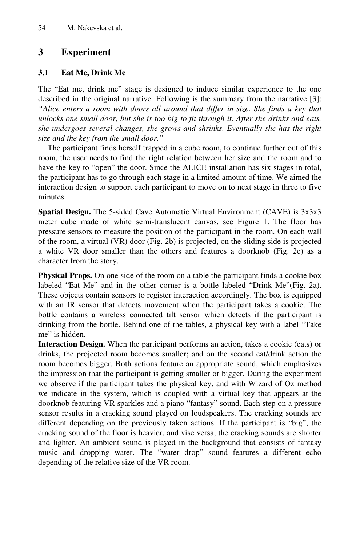# **3 Experiment**

## **3.1 Eat Me, Drink Me**

The "Eat me, drink me" stage is designed to induce similar experience to the one described in the original narrative. Following is the summary from the narrative [3]: *"Alice enters a room with doors all around that differ in size. She finds a key that unlocks one small door, but she is too big to fit through it. After she drinks and eats, she undergoes several changes, she grows and shrinks. Eventually she has the right size and the key from the small door."* 

The participant finds herself trapped in a cube room, to continue further out of this room, the user needs to find the right relation between her size and the room and to have the key to "open" the door. Since the ALICE installation has six stages in total, the participant has to go through each stage in a limited amount of time. We aimed the interaction design to support each participant to move on to next stage in three to five minutes.

**Spatial Design.** The 5-sided Cave Automatic Virtual Environment (CAVE) is 3x3x3 meter cube made of white semi-translucent canvas, see Figure 1. The floor has pressure sensors to measure the position of the participant in the room. On each wall of the room, a virtual (VR) door (Fig. 2b) is projected, on the sliding side is projected a white VR door smaller than the others and features a doorknob (Fig. 2c) as a character from the story.

**Physical Props.** On one side of the room on a table the participant finds a cookie box labeled "Eat Me" and in the other corner is a bottle labeled "Drink Me"(Fig. 2a). These objects contain sensors to register interaction accordingly. The box is equipped with an IR sensor that detects movement when the participant takes a cookie. The bottle contains a wireless connected tilt sensor which detects if the participant is drinking from the bottle. Behind one of the tables, a physical key with a label "Take me" is hidden.

**Interaction Design.** When the participant performs an action, takes a cookie (eats) or drinks, the projected room becomes smaller; and on the second eat/drink action the room becomes bigger. Both actions feature an appropriate sound, which emphasizes the impression that the participant is getting smaller or bigger. During the experiment we observe if the participant takes the physical key, and with Wizard of Oz method we indicate in the system, which is coupled with a virtual key that appears at the doorknob featuring VR sparkles and a piano "fantasy" sound. Each step on a pressure sensor results in a cracking sound played on loudspeakers. The cracking sounds are different depending on the previously taken actions. If the participant is "big", the cracking sound of the floor is heavier, and vise versa, the cracking sounds are shorter and lighter. An ambient sound is played in the background that consists of fantasy music and dropping water. The "water drop" sound features a different echo depending of the relative size of the VR room.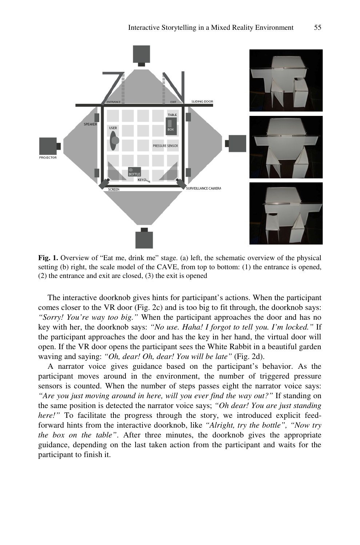

**Fig. 1.** Overview of "Eat me, drink me" stage. (a) left, the schematic overview of the physical setting (b) right, the scale model of the CAVE, from top to bottom: (1) the entrance is opened, (2) the entrance and exit are closed, (3) the exit is opened

The interactive doorknob gives hints for participant's actions. When the participant comes closer to the VR door (Fig. 2c) and is too big to fit through, the doorknob says: *"Sorry! You're way too big."* When the participant approaches the door and has no key with her, the doorknob says: *"No use. Haha! I forgot to tell you. I'm locked."* If the participant approaches the door and has the key in her hand, the virtual door will open. If the VR door opens the participant sees the White Rabbit in a beautiful garden waving and saying: *"Oh, dear! Oh, dear! You will be late"* (Fig. 2d).

A narrator voice gives guidance based on the participant's behavior. As the participant moves around in the environment, the number of triggered pressure sensors is counted. When the number of steps passes eight the narrator voice says: *"Are you just moving around in here, will you ever find the way out?"* If standing on the same position is detected the narrator voice says; *"Oh dear! You are just standing here!"* To facilitate the progress through the story, we introduced explicit feedforward hints from the interactive doorknob, like *"Alright, try the bottle", "Now try the box on the table"*. After three minutes, the doorknob gives the appropriate guidance, depending on the last taken action from the participant and waits for the participant to finish it.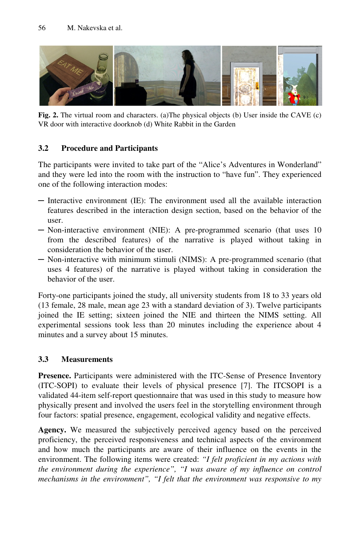

**Fig. 2.** The virtual room and characters. (a)The physical objects (b) User inside the CAVE (c) VR door with interactive doorknob (d) White Rabbit in the Garden

## **3.2 Procedure and Participants**

The participants were invited to take part of the "Alice's Adventures in Wonderland" and they were led into the room with the instruction to "have fun". They experienced one of the following interaction modes:

- ─ Interactive environment (IE): The environment used all the available interaction features described in the interaction design section, based on the behavior of the user.
- ─ Non-interactive environment (NIE): A pre-programmed scenario (that uses 10 from the described features) of the narrative is played without taking in consideration the behavior of the user.
- ─ Non-interactive with minimum stimuli (NIMS): A pre-programmed scenario (that uses 4 features) of the narrative is played without taking in consideration the behavior of the user.

Forty-one participants joined the study, all university students from 18 to 33 years old (13 female, 28 male, mean age 23 with a standard deviation of 3). Twelve participants joined the IE setting; sixteen joined the NIE and thirteen the NIMS setting. All experimental sessions took less than 20 minutes including the experience about 4 minutes and a survey about 15 minutes.

#### **3.3 Measurements**

**Presence.** Participants were administered with the ITC-Sense of Presence Inventory (ITC-SOPI) to evaluate their levels of physical presence [7]. The ITCSOPI is a validated 44-item self-report questionnaire that was used in this study to measure how physically present and involved the users feel in the storytelling environment through four factors: spatial presence, engagement, ecological validity and negative effects.

**Agency.** We measured the subjectively perceived agency based on the perceived proficiency, the perceived responsiveness and technical aspects of the environment and how much the participants are aware of their influence on the events in the environment. The following items were created: *"I felt proficient in my actions with the environment during the experience", "I was aware of my influence on control mechanisms in the environment", "I felt that the environment was responsive to my*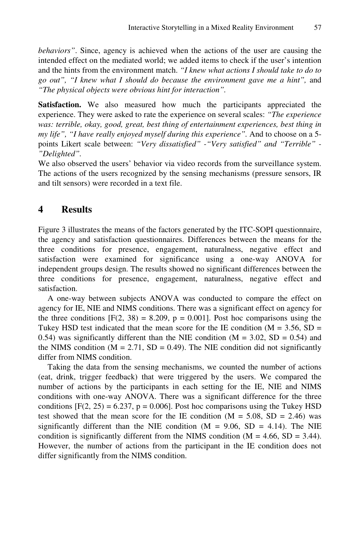*behaviors"*. Since, agency is achieved when the actions of the user are causing the intended effect on the mediated world; we added items to check if the user's intention and the hints from the environment match. *"I knew what actions I should take to do to go out", "I knew what I should do because the environment gave me a hint",* and *"The physical objects were obvious hint for interaction".*

**Satisfaction.** We also measured how much the participants appreciated the experience. They were asked to rate the experience on several scales: *"The experience was: terrible, okay, good, great, best thing of entertainment experiences, best thing in my life", "I have really enjoyed myself during this experience".* And to choose on a 5 points Likert scale between: *"Very dissatisfied" -"Very satisfied" and "Terrible" - "Delighted".* 

We also observed the users' behavior via video records from the surveillance system. The actions of the users recognized by the sensing mechanisms (pressure sensors, IR and tilt sensors) were recorded in a text file.

# **4 Results**

Figure 3 illustrates the means of the factors generated by the ITC-SOPI questionnaire, the agency and satisfaction questionnaires. Differences between the means for the three conditions for presence, engagement, naturalness, negative effect and satisfaction were examined for significance using a one-way ANOVA for independent groups design. The results showed no significant differences between the three conditions for presence, engagement, naturalness, negative effect and satisfaction.

A one-way between subjects ANOVA was conducted to compare the effect on agency for IE, NIE and NIMS conditions. There was a significant effect on agency for the three conditions  $[F(2, 38) = 8.209, p = 0.001]$ . Post hoc comparisons using the Tukey HSD test indicated that the mean score for the IE condition ( $M = 3.56$ , SD = 0.54) was significantly different than the NIE condition ( $M = 3.02$ , SD = 0.54) and the NIMS condition ( $M = 2.71$ , SD = 0.49). The NIE condition did not significantly differ from NIMS condition.

Taking the data from the sensing mechanisms, we counted the number of actions (eat, drink, trigger feedback) that were triggered by the users. We compared the number of actions by the participants in each setting for the IE, NIE and NIMS conditions with one-way ANOVA. There was a significant difference for the three conditions  $[F(2, 25) = 6.237, p = 0.006]$ . Post hoc comparisons using the Tukey HSD test showed that the mean score for the IE condition ( $M = 5.08$ ,  $SD = 2.46$ ) was significantly different than the NIE condition  $(M = 9.06, SD = 4.14)$ . The NIE condition is significantly different from the NIMS condition ( $M = 4.66$ ,  $SD = 3.44$ ). However, the number of actions from the participant in the IE condition does not differ significantly from the NIMS condition.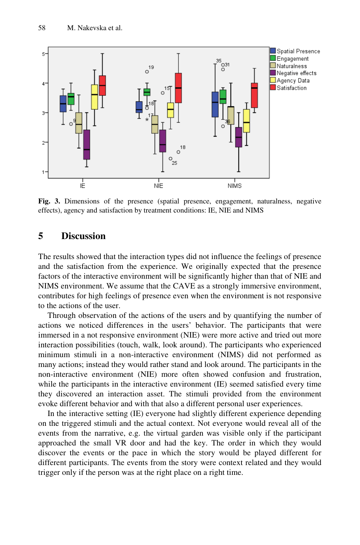

**Fig. 3.** Dimensions of the presence (spatial presence, engagement, naturalness, negative effects), agency and satisfaction by treatment conditions: IE, NIE and NIMS

# **5 Discussion**

The results showed that the interaction types did not influence the feelings of presence and the satisfaction from the experience. We originally expected that the presence factors of the interactive environment will be significantly higher than that of NIE and NIMS environment. We assume that the CAVE as a strongly immersive environment, contributes for high feelings of presence even when the environment is not responsive to the actions of the user.

Through observation of the actions of the users and by quantifying the number of actions we noticed differences in the users' behavior. The participants that were immersed in a not responsive environment (NIE) were more active and tried out more interaction possibilities (touch, walk, look around). The participants who experienced minimum stimuli in a non-interactive environment (NIMS) did not performed as many actions; instead they would rather stand and look around. The participants in the non-interactive environment (NIE) more often showed confusion and frustration, while the participants in the interactive environment (IE) seemed satisfied every time they discovered an interaction asset. The stimuli provided from the environment evoke different behavior and with that also a different personal user experiences.

In the interactive setting (IE) everyone had slightly different experience depending on the triggered stimuli and the actual context. Not everyone would reveal all of the events from the narrative, e.g. the virtual garden was visible only if the participant approached the small VR door and had the key. The order in which they would discover the events or the pace in which the story would be played different for different participants. The events from the story were context related and they would trigger only if the person was at the right place on a right time.